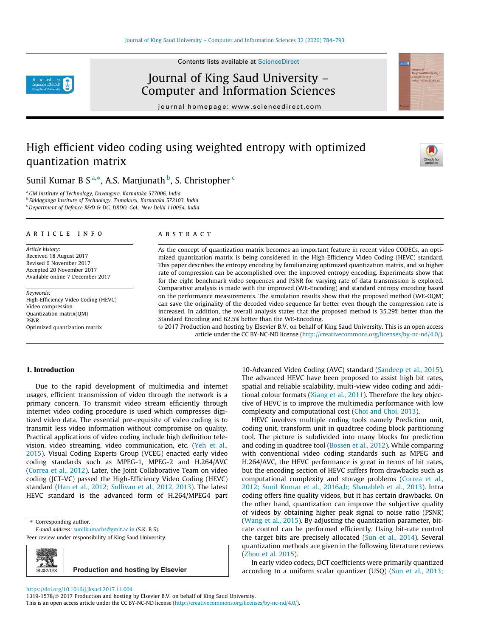Contents lists available at ScienceDirect



Journal of King Saud University – Computer and Information Sciences

journal homepage: www.sciencedirect.com

# High efficient video coding using weighted entropy with optimized quantization matrix



Sunil Kumar B S $^{\mathrm{a},\ast}$ , A.S. Manjunath $^{\mathrm{b}}$ , S. Christopher $^{\mathrm{c}}$ 

<sup>a</sup>*GM Institute of Technology, Davangere, Karnataka 577006, India*

b *Siddaganga Institute of Technology, Tumakuru, Karnataka 572103, India*

<sup>c</sup>*Department of Defence R&D & DG, DRDO. GoI., New Delhi 110054, India*

## article info

*Article history:* Received 18 August 2017 Revised 6 November 2017 Accepted 20 November 2017 Available online 7 December 2017

*Keywords:* High-Efficiency Video Coding (HEVC) Video compression Quantization matrix(QM) PSNR Optimized quantization matrix

#### **ABSTRACT**

As the concept of quantization matrix becomes an important feature in recent video CODECs, an optimized quantization matrix is being considered in the High-Efficiency Video Coding (HEVC) standard. This paper describes the entropy encoding by familiarizing optimized quantization matrix, and so higher rate of compression can be accomplished over the improved entropy encoding. Experiments show that for the eight benchmark video sequences and PSNR for varying rate of data transmission is explored. Comparative analysis is made with the improved (WE-Encoding) and standard entropy encoding based on the performance measurements. The simulation results show that the proposed method (WE-OQM) can save the originality of the decoded video sequence far better even though the compression rate is increased. In addition, the overall analysis states that the proposed method is 35.29% better than the Standard Encoding and 62.5% better than the WE-Encoding.

 2017 Production and hosting by Elsevier B.V. on behalf of King Saud University. This is an open access article under the CC BY-NC-ND license (http://creativecommons.org/licenses/by-nc-nd/4.0/).

## 1. Introduction

Due to the rapid development of multimedia and internet usages, efficient transmission of video through the network is a primary concern. To transmit video stream efficiently through internet video coding procedure is used which compresses digitized video data. The essential pre-requisite of video coding is to transmit less video information without compromise on quality. Practical applications of video coding include high definition television, video streaming, video communication, etc. (Yeh et al., 2015). Visual Coding Experts Group (VCEG) enacted early video coding standards such as MPEG-1, MPEG-2 and H.264/AVC (Correa et al., 2012). Later, the Joint Collaborative Team on video coding (JCT-VC) passed the High-Efficiency Video Coding (HEVC) standard (Han et al., 2012; Sullivan et al., 2012, 2013). The latest HEVC standard is the advanced form of H.264/MPEG4 part

\* Corresponding author.

*E-mail address:* sunilkumarbs@gmit.ac.in (S.K. B S).

Peer review under responsibility of King Saud University.



10-Advanced Video Coding (AVC) standard (Sandeep et al., 2015). The advanced HEVC have been proposed to assist high bit rates, spatial and reliable scalability, multi-view video coding and additional colour formats (Xiang et al., 2011). Therefore the key objective of HEVC is to improve the multimedia performance with low complexity and computational cost (Choi and Choi, 2013).

HEVC involves multiple coding tools namely Prediction unit, coding unit, transform unit in quadtree coding block partitioning tool. The picture is subdivided into many blocks for prediction and coding in quadtree tool (Bossen et al., 2012). While comparing with conventional video coding standards such as MPEG and H.264/AVC, the HEVC performance is great in terms of bit rates, but the encoding section of HEVC suffers from drawbacks such as computational complexity and storage problems (Correa et al., 2012; Sunil Kumar et al., 2016a,b; Shanableh et al., 2013). Intra coding offers fine quality videos, but it has certain drawbacks. On the other hand, quantization can improve the subjective quality of videos by obtaining higher peak signal to noise ratio (PSNR) (Wang et al., 2015). By adjusting the quantization parameter, bitrate control can be performed efficiently. Using bit-rate control the target bits are precisely allocated (Sun et al., 2014). Several quantization methods are given in the following literature reviews (Zhou et al. 2015).

In early video codecs, DCT coefficients were primarily quantized according to a uniform scalar quantizer (USQ) (Sun et al., 2013;

https://doi.org/10.1016/j.jksuci.2017.11.004

<sup>1319-1578/ 2017</sup> Production and hosting by Elsevier B.V. on behalf of King Saud University.

This is an open access article under the CC BY-NC-ND license (http://creativecommons.org/licenses/by-nc-nd/4.0/).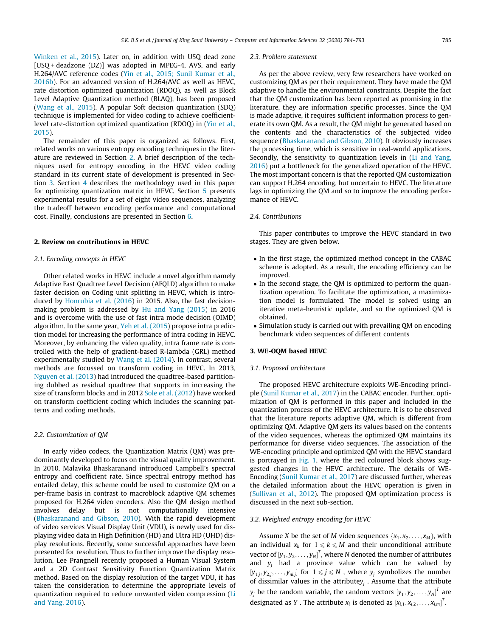Winken et al., 2015). Later on, in addition with USQ dead zone [USQ + deadzone (DZ)] was adopted in MPEG-4, AVS, and early H.264/AVC reference codes (Yin et al., 2015; Sunil Kumar et al., 2016b). For an advanced version of H.264/AVC as well as HEVC, rate distortion optimized quantization (RDOQ), as well as Block Level Adaptive Quantization method (BLAQ), has been proposed (Wang et al., 2015). A popular Soft decision quantization (SDQ) technique is implemented for video coding to achieve coefficientlevel rate-distortion optimized quantization (RDOQ) in (Yin et al., 2015).

The remainder of this paper is organized as follows. First, related works on various entropy encoding techniques in the literature are reviewed in Section 2. A brief description of the techniques used for entropy encoding in the HEVC video coding standard in its current state of development is presented in Section 3. Section 4 describes the methodology used in this paper for optimizing quantization matrix in HEVC. Section 5 presents experimental results for a set of eight video sequences, analyzing the tradeoff between encoding performance and computational cost. Finally, conclusions are presented in Section 6.

#### 2. Review on contributions in HEVC

## *2.1. Encoding concepts in HEVC*

Other related works in HEVC include a novel algorithm namely Adaptive Fast Quadtree Level Decision (AFQLD) algorithm to make faster decision on Coding unit splitting in HEVC, which is introduced by Honrubia et al. (2016) in 2015. Also, the fast decisionmaking problem is addressed by Hu and Yang (2015) in 2016 and is overcome with the use of fast intra mode decision (OIMD) algorithm. In the same year, Yeh et al. (2015) propose intra prediction model for increasing the performance of intra coding in HEVC. Moreover, by enhancing the video quality, intra frame rate is controlled with the help of gradient-based R-lambda (GRL) method experimentally studied by Wang et al. (2014). In contrast, several methods are focussed on transform coding in HEVC. In 2013, Nguyen et al. (2013) had introduced the quadtree-based partitioning dubbed as residual quadtree that supports in increasing the size of transform blocks and in 2012 Sole et al. (2012) have worked on transform coefficient coding which includes the scanning patterns and coding methods.

### *2.2. Customization of QM*

In early video codecs, the Quantization Matrix (QM) was predominantly developed to focus on the visual quality improvement. In 2010, Malavika Bhaskaranand introduced Campbell's spectral entropy and coefficient rate. Since spectral entropy method has entailed delay, this scheme could be used to customize QM on a per-frame basis in contrast to macroblock adaptive QM schemes proposed for H.264 video encoders. Also the QM design method involves delay but is not computationally intensive (Bhaskaranand and Gibson, 2010). With the rapid development of video services Visual Display Unit (VDU), is newly used for displaying video data in High Definition (HD) and Ultra HD (UHD) display resolutions. Recently, some successful approaches have been presented for resolution. Thus to further improve the display resolution, Lee Prangnell recently proposed a Human Visual System and a 2D Contrast Sensitivity Function Quantization Matrix method. Based on the display resolution of the target VDU, it has taken the consideration to determine the appropriate levels of quantization required to reduce unwanted video compression (Li and Yang, 2016).

#### *2.3. Problem statement*

As per the above review, very few researchers have worked on customizing QM as per their requirement. They have made the QM adaptive to handle the environmental constraints. Despite the fact that the QM customization has been reported as promising in the literature, they are information specific processes. Since the QM is made adaptive, it requires sufficient information process to generate its own QM. As a result, the QM might be generated based on the contents and the characteristics of the subjected video sequence (Bhaskaranand and Gibson, 2010). It obviously increases the processing time, which is sensitive in real-world applications. Secondly, the sensitivity to quantization levels in (Li and Yang, 2016) put a bottleneck for the generalized operation of the HEVC. The most important concern is that the reported QM customization can support H.264 encoding, but uncertain to HEVC. The literature lags in optimizing the QM and so to improve the encoding performance of HEVC.

### *2.4. Contributions*

This paper contributes to improve the HEVC standard in two stages. They are given below.

- In the first stage, the optimized method concept in the CABAC scheme is adopted. As a result, the encoding efficiency can be improved.
- In the second stage, the QM is optimized to perform the quantization operation. To facilitate the optimization, a maximization model is formulated. The model is solved using an iterative meta-heuristic update, and so the optimized QM is obtained.
- Simulation study is carried out with prevailing QM on encoding benchmark video sequences of different contents

### 3. WE-OQM based HEVC

#### *3.1. Proposed architecture*

The proposed HEVC architecture exploits WE-Encoding principle (Sunil Kumar et al., 2017) in the CABAC encoder. Further, optimization of QM is performed in this paper and included in the quantization process of the HEVC architecture. It is to be observed that the literature reports adaptive QM, which is different from optimizing QM. Adaptive QM gets its values based on the contents of the video sequences, whereas the optimized QM maintains its performance for diverse video sequences. The association of the WE-encoding principle and optimized QM with the HEVC standard is portrayed in Fig. 1, where the red coloured block shows suggested changes in the HEVC architecture. The details of WE-Encoding (Sunil Kumar et al., 2017) are discussed further, whereas the detailed information about the HEVC operation is given in (Sullivan et al., 2012). The proposed QM optimization process is discussed in the next sub-section.

## *3.2. Weighted entropy encoding for HEVC*

Assume *X* be the set of *M* video sequences  $\{x_1, x_2, \ldots, x_M\}$ , with an individual  $x_k$  for  $1 \leq k \leq M$  and their unconditional attribute vector of  $\left[y_1, y_2, \ldots, y_N\right]^T$ , where *N* denoted the number of attributes and  $y_i$  had a province value which can be valued by  $[y_{1,j}, y_{2,j}, \ldots, y_{ni,j}]$  for  $1 \leq j \leq N$  , where  $y_j$  symbolizes the number of dissimilar values in the attribute*y<sup>j</sup>* . Assume that the attribute  $y_j$  be the random variable, the random vectors  $[y_1, y_2, \ldots, y_N]^T$  are designated as *Y*. The attribute  $x_i$  is denoted as  $[x_{i,1}, x_{i,2}, \ldots, x_{i,m}]^T$ .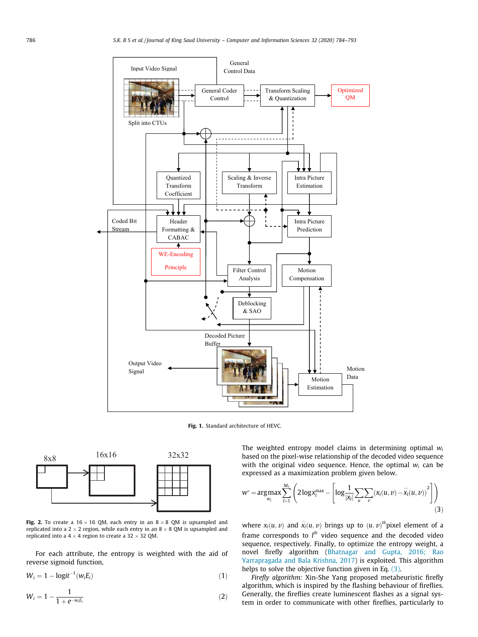

Fig. 1. Standard architecture of HEVC.



Fig. 2. To create a  $16 \times 16$  QM, each entry in an  $8 \times 8$  QM is upsampled and replicated into a  $2 \times 2$  region, while each entry in an  $8 \times 8$  QM is upsampled and replicated into a  $4 \times 4$  region to create a 32  $\times$  32 QM.

For each attribute, the entropy is weighted with the aid of reverse sigmoid function,

$$
W_i = 1 - \logit^{-1}(w_i E_i)
$$
\n<sup>(1)</sup>

$$
W_i = 1 - \frac{1}{1 + e^{-w_i E_i}}
$$
 (2)

The weighted entropy model claims in determining optimal *w<sup>i</sup>* based on the pixel-wise relationship of the decoded video sequence with the original video sequence. Hence, the optimal  $w_i$  can be expressed as a maximization problem given below.

$$
w^* = \underset{w_i}{\arg \max} \sum_{l=1}^{M_s} \left( 2 \log x_l^{\max} - \left[ \log \frac{1}{|x_l|} \sum_u \sum_v (x_l(u, v) - \widehat{x_l}(u, v))^2 \right] \right) \tag{3}
$$

where  $x_l(u, v)$  and  $\hat{x_l}(u, v)$  brings up to  $(u, v)$ <sup>th</sup> pixel element of a frame corresponds to l<sup>th</sup> video sequence and the decoded video sequence, respectively. Finally, to optimize the entropy weight, a novel firefly algorithm (Bhatnagar and Gupta, 2016; Rao Yarrapragada and Bala Krishna, 2017) is exploited. This algorithm helps to solve the objective function given in Eq. (3).

*Firefly algorithm:* Xin-She Yang proposed metaheuristic firefly algorithm, which is inspired by the flashing behaviour of fireflies. Generally, the fireflies create luminescent flashes as a signal system in order to communicate with other fireflies, particularly to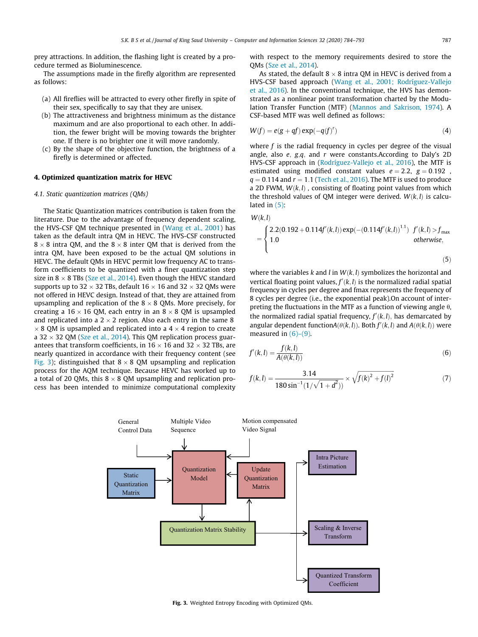prey attractions. In addition, the flashing light is created by a procedure termed as Bioluminescence.

The assumptions made in the firefly algorithm are represented as follows:

- (a) All fireflies will be attracted to every other firefly in spite of their sex, specifically to say that they are unisex.
- (b) The attractiveness and brightness minimum as the distance maximum and are also proportional to each other. In addition, the fewer bright will be moving towards the brighter one. If there is no brighter one it will move randomly.
- (c) By the shape of the objective function, the brightness of a firefly is determined or affected.

## 4. Optimized quantization matrix for HEVC

## *4.1. Static quantization matrices (QMs)*

The Static Quantization matrices contribution is taken from the literature. Due to the advantage of frequency dependent scaling, the HVS-CSF QM technique presented in (Wang et al., 2001) has taken as the default intra QM in HEVC. The HVS-CSF constructed  $8 \times 8$  intra QM, and the  $8 \times 8$  inter QM that is derived from the intra QM, have been exposed to be the actual QM solutions in HEVC. The default QMs in HEVC permit low frequency AC to transform coefficients to be quantized with a finer quantization step size in  $8 \times 8$  TBs (Sze et al., 2014). Even though the HEVC standard supports up to 32  $\times$  32 TBs, default 16  $\times$  16 and 32  $\times$  32 QMs were not offered in HEVC design. Instead of that, they are attained from upsampling and replication of the  $8 \times 8$  QMs. More precisely, for creating a 16  $\times$  16 QM, each entry in an 8  $\times$  8 QM is upsampled and replicated into a  $2 \times 2$  region. Also each entry in the same 8  $\times$  8 QM is upsampled and replicated into a 4  $\times$  4 region to create a 32  $\times$  32 QM (Sze et al., 2014). This QM replication process guarantees that transform coefficients, in  $16 \times 16$  and  $32 \times 32$  TBs, are nearly quantized in accordance with their frequency content (see Fig. 3); distinguished that  $8 \times 8$  QM upsampling and replication process for the AQM technique. Because HEVC has worked up to a total of 20 QMs, this  $8 \times 8$  QM upsampling and replication process has been intended to minimize computational complexity

with respect to the memory requirements desired to store the QMs (Sze et al., 2014).

As stated, the default  $8 \times 8$  intra OM in HEVC is derived from a HVS-CSF based approach (Wang et al., 2001; Rodríguez-Vallejo et al., 2016). In the conventional technique, the HVS has demonstrated as a nonlinear point transformation charted by the Modulation Transfer Function (MTF) (Mannos and Sakrison, 1974). A CSF-based MTF was well defined as follows:

$$
W(f) = e(g + qf) \exp(-q(f)^r)
$$
\n(4)

where *f* is the radial frequency in cycles per degree of the visual angle, also *e*; *g*;*q*; and *r* were constants.According to Daly's 2D HVS-CSF approach in (Rodríguez-Vallejo et al., 2016), the MTF is estimated using modified constant values  $e = 2.2$ ,  $g = 0.192$ ,  $q = 0.114$  and  $r = 1.1$  (Tech et al., 2016). The MTF is used to produce a 2D FWM,  $W(k, l)$ , consisting of floating point values from which the threshold values of QM integer were derived.  $W(k, l)$  is calculated in (5):

$$
W(k,l)
$$
\n
$$
= \begin{cases}\n2.2(0.192 + 0.114f'(k,l)) \exp(-(0.114f'(k,l))^{1.1}) & f'(k,l) > f_{\text{max}} \\
1.0 & \text{otherwise,} \n\end{cases}
$$
\n(5)

where the variables  $k$  and  $l$  in  $W(k, l)$  symbolizes the horizontal and vertical floating point values,  $f'(k, l)$  is the normalized radial spatial frequency in cycles per degree and fmax represents the frequency of 8 cycles per degree (i.e., the exponential peak).On account of interpreting the fluctuations in the MTF as a function of viewing angle  $\theta$ , the normalized radial spatial frequency,  $f'(k, l)$ , has demarcated by angular dependent function $A(\theta(k, l))$ . Both  $f'(k, l)$  and  $A(\theta(k, l))$  were measured in  $(6)-(9)$ .

$$
f'(k,l) = \frac{f(k,l)}{A(\theta(k,l))}
$$
\n(6)

$$
f(k,l) = \frac{3.14}{180 \sin^{-1}(1/\sqrt{1+d^2})} \times \sqrt{f(k)^2 + f(l)^2}
$$
 (7)



Fig. 3. Weighted Entropy Encoding with Optimized QMs.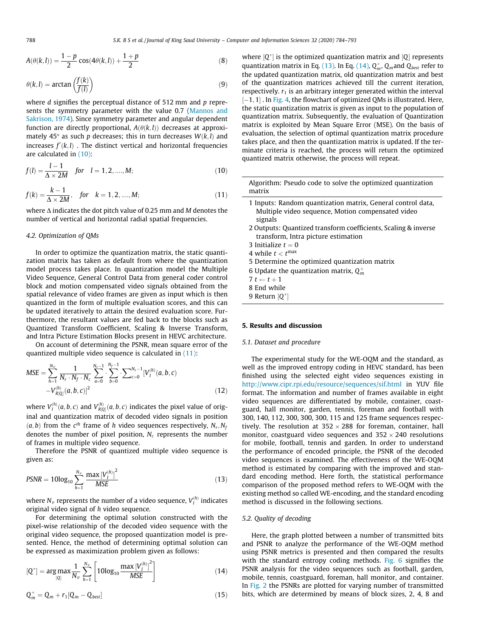$$
A(\theta(k,l)) = \frac{1-p}{2} \cos(4\theta(k,l)) + \frac{1+p}{2}
$$
 (8)

$$
\theta(k,l) = \arctan\left(\frac{f(k)}{f(l)}\right) \tag{9}
$$

where *d* signifies the perceptual distance of 512 mm and *p* represents the symmetry parameter with the value 0.7 (Mannos and Sakrison, 1974). Since symmetry parameter and angular dependent function are directly proportional,  $A(\theta(k, l))$  decreases at approximately 45 $\degree$  as such *p* decreases; this in turn decreases  $W(k, l)$  and  $i$ ncreases  $f'(k,l)$  . The distinct vertical and horizontal frequencies are calculated in (10):

$$
f(l) = \frac{l-1}{\Delta \times 2M} \quad \text{for} \quad l = 1, 2, \dots, M; \tag{10}
$$

$$
f(k) = \frac{k-1}{\Delta \times 2M}, \quad \text{for} \quad k = 1, 2, \dots, M; \tag{11}
$$

where  $\Lambda$  indicates the dot pitch value of 0.25 mm and *M* denotes the number of vertical and horizontal radial spatial frequencies.

## *4.2. Optimization of QMs*

In order to optimize the quantization matrix, the static quantization matrix has taken as default from where the quantization model process takes place. In quantization model the Multiple Video Sequence, General Control Data from general coder control block and motion compensated video signals obtained from the spatial relevance of video frames are given as input which is then quantized in the form of multiple evaluation scores, and this can be updated iteratively to attain the desired evaluation score. Furthermore, the resultant values are fed back to the blocks such as Quantized Transform Coefficient, Scaling & Inverse Transform, and Intra Picture Estimation Blocks present in HEVC architecture.

On account of determining the PSNR, mean square error of the quantized multiple video sequence is calculated in (11):

$$
MSE = \sum_{h=1}^{N_v} \frac{1}{N_r \cdot N_f \cdot N_c} \sum_{a=0}^{N_r-1} \cdot \sum_{b=0}^{N_f-1} \cdot \sum_{c=0}^{N_c-1} [V_I^{(h)}(a, b, c)]
$$
  
- $V_{R[Q]}^{(h)}(a, b, c)]^2$  (12)

where  $V_I^{(h)}(a,b,c)$  and  $V_{R[Q]}^{(h)}(a,b,c)$  indicates the pixel value of original and quantization matrix of decoded video signals in position  $(a, b)$  from the  $c^{th}$  frame of *h* video sequences respectively,  $N_r, N_f$ denotes the number of pixel position,  $N_c$  represents the number of frames in multiple video sequence.

Therefore the PSNR of quantized multiple video sequence is given as:

$$
PSNR = 10\log_{10}\sum_{h=1}^{N_{\nu}}\frac{\max\left[V_{I}^{(h)}\right]^{2}}{MSE}
$$
\n(13)

where  $N_{\nu}$  represents the number of a video sequence,  $V^{(h)}_I$  indicates original video signal of *h* video sequence.

For determining the optimal solution constructed with the pixel-wise relationship of the decoded video sequence with the original video sequence, the proposed quantization model is presented. Hence, the method of determining optimal solution can be expressed as maximization problem given as follows:

$$
[Q^*] = \arg \max_{[Q]} \frac{1}{N_{\nu}} \sum_{h=1}^{N_{\nu}} \left[ 10 \log_{10} \frac{\max \left[ V_I^{(h)} \right]^2}{MSE} \right] \tag{14}
$$

$$
\mathbf{Q}_m^+ = \mathbf{Q}_m + r_1[\mathbf{Q}_m - \mathbf{Q}_{best}] \tag{15}
$$

where  $[Q^*]$  is the optimized quantization matrix and  $[Q]$  represents quantization matrix in Eq. (13). In Eq. (14),  $Q_m^+$ ,  $Q_m$  and  $Q_{best}$  refer to the updated quantization matrix, old quantization matrix and best of the quantization matrices achieved till the current iteration, respectively.  $r_1$  is an arbitrary integer generated within the interval  $[-1, 1]$ . In Fig. 4, the flowchart of optimized QMs is illustrated. Here, the static quantization matrix is given as input to the population of quantization matrix. Subsequently, the evaluation of Quantization matrix is exploited by Mean Square Error (MSE). On the basis of evaluation, the selection of optimal quantization matrix procedure takes place, and then the quantization matrix is updated. If the terminate criteria is reached, the process will return the optimized quantized matrix otherwise, the process will repeat.

Algorithm: Pseudo code to solve the optimized quantization matrix 1 Inputs: Random quantization matrix, General control data, Multiple video sequence, Motion compensated video signals 2 Outputs: Quantized transform coefficients, Scaling & inverse transform, Intra picture estimation 3 Initialize  $t = 0$ 

- 4 while  $t < t^{\text{max}}$
- 5 Determine the optimized quantization matrix
- 6 Update the quantization matrix,  $Q_m^+$

 $7 t \leftarrow t + 1$ 

- 8 End while
- 9 Return [Q<sup>\*</sup>]

# 5. Results and discussion

## *5.1. Dataset and procedure*

The experimental study for the WE-OQM and the standard, as well as the improved entropy coding in HEVC standard, has been finished using the selected eight video sequences existing in http://www.cipr.rpi.edu/resource/sequences/sif.html in YUV file format. The information and number of frames available in eight video sequences are differentiated by mobile, container, coastguard, hall monitor, garden, tennis, foreman and football with 300, 140, 112, 300, 300, 300, 115 and 125 frame sequences respectively. The resolution at  $352 \times 288$  for foreman, container, hall monitor, coastguard video sequences and  $352 \times 240$  resolutions for mobile, football, tennis and garden. In order to understand the performance of encoded principle, the PSNR of the decoded video sequences is examined. The effectiveness of the WE-OQM method is estimated by comparing with the improved and standard encoding method. Here forth, the statistical performance comparison of the proposed method refers to WE-OQM with the existing method so called WE-encoding, and the standard encoding method is discussed in the following sections.

## *5.2. Quality of decoding*

Here, the graph plotted between a number of transmitted bits and PSNR to analyze the performance of the WE-OQM method using PSNR metrics is presented and then compared the results with the standard entropy coding methods. Fig. 6 signifies the PSNR analysis for the video sequences such as football, garden, mobile, tennis, coastguard, foreman, hall monitor, and container. In Fig. 2 the PSNRs are plotted for varying number of transmitted bits, which are determined by means of block sizes, 2, 4, 8 and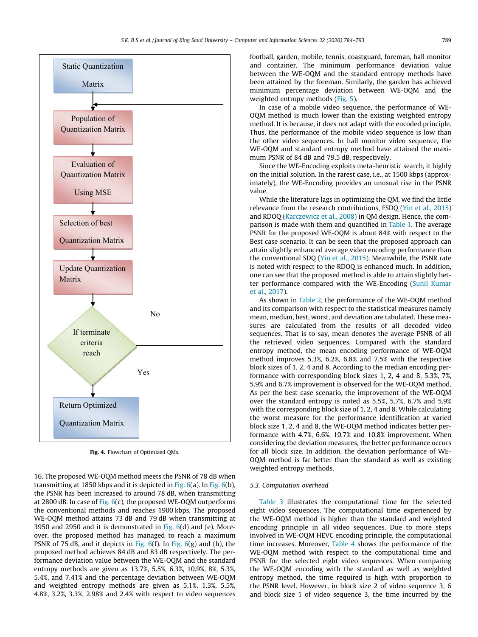

Fig. 4. Flowchart of Optimized QMs.

16. The proposed WE-OQM method meets the PSNR of 78 dB when transmitting at 1850 kbps and it is depicted in Fig. 6(a). In Fig. 6(b), the PSNR has been increased to around 78 dB, when transmitting at 2800 dB. In case of Fig.  $6(c)$ , the proposed WE-OQM outperforms the conventional methods and reaches 1900 kbps. The proposed WE-OQM method attains 73 dB and 79 dB when transmitting at 3950 and 2950 and it is demonstrated in Fig.  $6(d)$  and (e). Moreover, the proposed method has managed to reach a maximum PSNR of 75 dB, and it depicts in Fig.  $6(f)$ . In Fig.  $6(g)$  and (h), the proposed method achieves 84 dB and 83 dB respectively. The performance deviation value between the WE-OQM and the standard entropy methods are given as 13.7%, 5.5%, 6.3%, 10.9%, 8%, 5.3%, 5.4%, and 7.41% and the percentage deviation between WE-OQM and weighted entropy methods are given as 5.1%, 1.3%, 5.5%, 4.8%, 3.2%, 3.3%, 2.98% and 2.4% with respect to video sequences

football, garden, mobile, tennis, coastguard, foreman, hall monitor and container. The minimum performance deviation value between the WE-OQM and the standard entropy methods have been attained by the foreman. Similarly, the garden has achieved minimum percentage deviation between WE-OQM and the weighted entropy methods (Fig. 5).

In case of a mobile video sequence, the performance of WE-OQM method is much lower than the existing weighted entropy method. It is because, it does not adapt with the encoded principle. Thus, the performance of the mobile video sequence is low than the other video sequences. In hall monitor video sequence, the WE-OQM and standard entropy method have attained the maximum PSNR of 84 dB and 79.5 dB, respectively.

Since the WE-Encoding exploits meta-heuristic search, it highly on the initial solution. In the rarest case, i.e., at 1500 kbps (approximately), the WE-Encoding provides an unusual rise in the PSNR value.

While the literature lags in optimizing the QM, we find the little relevance from the research contributions, FSDQ (Yin et al., 2015) and RDOQ (Karczewicz et al., 2008) in QM design. Hence, the comparison is made with them and quantified in Table 1. The average PSNR for the proposed WE-OQM is about 84% with respect to the Best case scenario. It can be seen that the proposed approach can attain slightly enhanced average video encoding performance than the conventional SDQ (Yin et al., 2015). Meanwhile, the PSNR rate is noted with respect to the RDOQ is enhanced much. In addition, one can see that the proposed method is able to attain slightly better performance compared with the WE-Encoding (Sunil Kumar et al., 2017).

As shown in Table 2, the performance of the WE-OQM method and its comparison with respect to the statistical measures namely mean, median, best, worst, and deviation are tabulated. These measures are calculated from the results of all decoded video sequences. That is to say, mean denotes the average PSNR of all the retrieved video sequences. Compared with the standard entropy method, the mean encoding performance of WE-OQM method improves 5.3%, 6.2%, 6.8% and 7.5% with the respective block sizes of 1, 2, 4 and 8. According to the median encoding performance with corresponding block sizes 1, 2, 4 and 8, 5.3%, 7%, 5.9% and 6.7% improvement is observed for the WE-OQM method. As per the best case scenario, the improvement of the WE-OQM over the standard entropy is noted as 5.5%, 5.7%, 6.7% and 5.9% with the corresponding block size of 1, 2, 4 and 8. While calculating the worst measure for the performance identification at varied block size 1, 2, 4 and 8, the WE-OQM method indicates better performance with 4.7%, 6.6%, 10.7% and 10.8% improvement. When considering the deviation measures, the better performance occurs for all block size. In addition, the deviation performance of WE-OQM method is far better than the standard as well as existing weighted entropy methods.

#### *5.3. Computation overhead*

Table 3 illustrates the computational time for the selected eight video sequences. The computational time experienced by the WE-OQM method is higher than the standard and weighted encoding principle in all video sequences. Due to more steps involved in WE-OQM HEVC encoding principle, the computational time increases. Moreover, Table 4 shows the performance of the WE-OQM method with respect to the computational time and PSNR for the selected eight video sequences. When comparing the WE-OQM encoding with the standard as well as weighted entropy method, the time required is high with proportion to the PSNR level. However, in block size 2 of video sequence 3, 6 and block size 1 of video sequence 3, the time incurred by the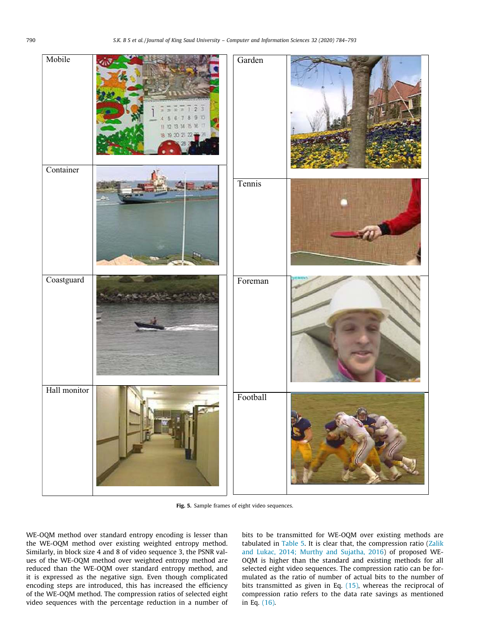| Mobile       | Garden   |  |
|--------------|----------|--|
| Container    | Tennis   |  |
| Coastguard   | Foreman  |  |
| Hall monitor | Football |  |

Fig. 5. Sample frames of eight video sequences.

WE-OQM method over standard entropy encoding is lesser than the WE-OQM method over existing weighted entropy method. Similarly, in block size 4 and 8 of video sequence 3, the PSNR values of the WE-OQM method over weighted entropy method are reduced than the WE-OQM over standard entropy method, and it is expressed as the negative sign. Even though complicated encoding steps are introduced, this has increased the efficiency of the WE-OQM method. The compression ratios of selected eight video sequences with the percentage reduction in a number of bits to be transmitted for WE-OQM over existing methods are tabulated in Table 5. It is clear that, the compression ratio (Zalik and Lukac, 2014; Murthy and Sujatha, 2016) of proposed WE-OQM is higher than the standard and existing methods for all selected eight video sequences. The compression ratio can be formulated as the ratio of number of actual bits to the number of bits transmitted as given in Eq. (15), whereas the reciprocal of compression ratio refers to the data rate savings as mentioned in Eq. (16).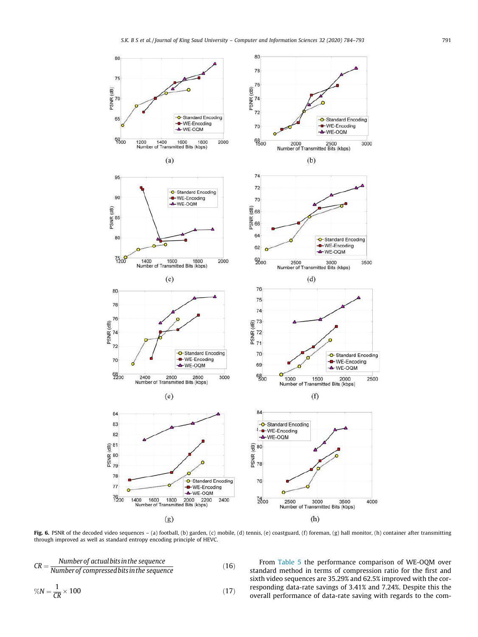

Fig. 6. PSNR of the decoded video sequences - (a) football, (b) garden, (c) mobile, (d) tennis, (e) coastguard, (f) foreman, (g) hall monitor, (h) container after transmitting through improved as well as standard entropy encoding principle of HEVC.

$$
CR = \frac{Number of actual bits in the sequence}{Number of compressed bits in the sequence} \tag{16}
$$
\n
$$
\%N = \frac{1}{CR} \times 100 \tag{17}
$$

From Table 5 the performance comparison of WE-OQM over standard method in terms of compression ratio for the first and sixth video sequences are 35.29% and 62.5% improved with the corresponding data-rate savings of 3.41% and 7.24%. Despite this the overall performance of data-rate saving with regards to the com-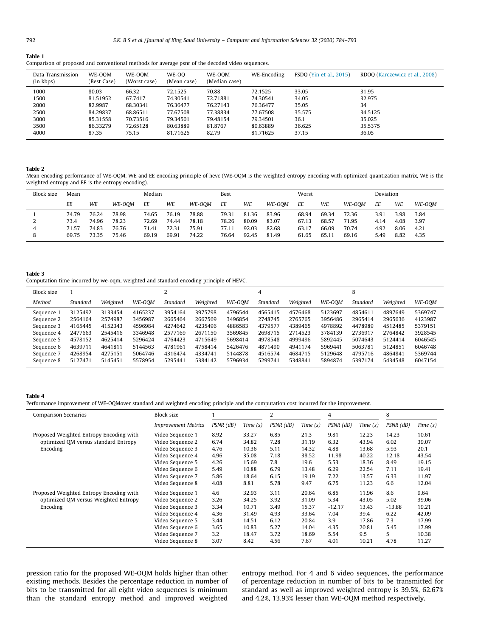| Table 1                                                                                          |
|--------------------------------------------------------------------------------------------------|
| Comparison of proposed and conventional methods for average psnr of the decoded video sequences. |

| Data Transmission<br>(in kbps) | WE-OOM<br>(Best Case) | WE-OOM<br>(Worst case) | WE-00<br>(Mean case) | WE-OOM<br>(Median case) | WE-Encoding | <b>FSDO</b> (Yin et al., 2015) | RDOO (Karczewicz et al., 2008) |
|--------------------------------|-----------------------|------------------------|----------------------|-------------------------|-------------|--------------------------------|--------------------------------|
| 1000                           | 80.03                 | 66.32                  | 72.1525              | 70.88                   | 72.1525     | 33.05                          | 31.95                          |
| 1500                           | 81.51952              | 67.7417                | 74.30541             | 72.71881                | 74.30541    | 34.05                          | 32.975                         |
| 2000                           | 82.9987               | 68.30341               | 76.36477             | 76.27143                | 76.36477    | 35.05                          | 34                             |
| 2500                           | 84.29837              | 68.86511               | 77.67508             | 77.38834                | 77.67508    | 35.575                         | 34.5125                        |
| 3000                           | 85.31558              | 70.73516               | 79.34501             | 79.48154                | 79.34501    | 36.1                           | 35.025                         |
| 3500                           | 86.33279              | 72.65128               | 80.63889             | 81.8767                 | 80.63889    | 36.625                         | 35.5375                        |
| 4000                           | 87.35                 | 75.15                  | 81.71625             | 82.79                   | 81.71625    | 37.15                          | 36.05                          |

#### Table 2

Mean encoding performance of WE-OQM, WE and EE encoding principle of hevc (WE-OQM is the weighted entropy encoding with optimized quantization matrix, WE is the weighted entropy and EE is the entropy encoding).

| <b>Block size</b> | Mean  |       | Median |       | Best  |        | Worst |       |        | Deviation |       |        |      |      |        |
|-------------------|-------|-------|--------|-------|-------|--------|-------|-------|--------|-----------|-------|--------|------|------|--------|
|                   | ΕE    | WE    | WE-OOM | EE    | WE    | WE-OOM | EE    | WE    | WE-OOM | EE        | WE    | WE-OOM | ΕE   | WE   | WE-OOM |
|                   | 74.79 | 76.24 | 78.98  | 74.65 | 76.19 | 78.88  | 79.31 | 81.36 | 83.96  | 68.94     | 69.34 | 72.36  | 3.91 | 3.98 | 3.84   |
|                   | 73.4  | 74.96 | 78.23  | 72.69 | 74.44 | 78.18  | 78.26 | 80.09 | 83.07  | 67.13     | 68.57 | 71.95  | 4.14 | 4.08 | 3.97   |
| 4                 | 71.57 | 74.83 | 76.76  | 71.41 | 72.31 | 75.91  | 77.11 | 92.03 | 82.68  | 63.17     | 66.09 | 70.74  | 4.92 | 8.06 | 4.21   |
| ŏ                 | 69.75 | 73.35 | 75.46  | 69.19 | 69.91 | 74.22  | 76.64 | 92.45 | 81.49  | 61.65     | 65.11 | 69.16  | 5.49 | 8.82 | 4.35   |

#### Table 3

Computation time incurred by we-oqm, weighted and standard encoding principle of HEVC.

| <b>Block size</b> |          |          |         |          |          |         |          |          |         | 8        |          |         |
|-------------------|----------|----------|---------|----------|----------|---------|----------|----------|---------|----------|----------|---------|
| Method            | Standard | Weighted | WE-OOM  | Standard | Weighted | WE-OOM  | Standard | Weighted | WE-OOM  | Standard | Weighted | WE-OOM  |
| Sequence 1        | 3125492  | 3133454  | 4165237 | 3954164  | 3975798  | 4796544 | 4565415  | 4576468  | 5123697 | 4854611  | 4897649  | 5369747 |
| Sequence 2        | 2564164  | 2574987  | 3456987 | 2665464  | 2667569  | 3496854 | 2748745  | 2765765  | 3956486 | 2965414  | 2965636  | 4123987 |
| Sequence 3        | 4165445  | 4152343  | 4596984 | 4274642  | 4235496  | 4886583 | 4379577  | 4389465  | 4978892 | 4478989  | 4512485  | 5379151 |
| Sequence 4        | 2477663  | 2545416  | 3346948 | 2577169  | 2671150  | 3569845 | 2698715  | 2714523  | 3784139 | 2736917  | 2764842  | 3928545 |
| Sequence 5        | 4578152  | 4625414  | 5296424 | 4764423  | 4715649  | 5698414 | 4978548  | 4999496  | 5892445 | 5074643  | 5124414  | 6046545 |
| Sequence 6        | 4639711  | 4641811  | 5144563 | 4781961  | 4758414  | 5426476 | 4871490  | 4941174  | 5969441 | 5063781  | 5124851  | 6046748 |
| Sequence 7        | 4268954  | 4275151  | 5064746 | 4316474  | 4334741  | 5144878 | 4516574  | 4684715  | 5129648 | 4795716  | 4864841  | 5369744 |
| Sequence 8        | 5127471  | 5145451  | 5578954 | 5295441  | 5384142  | 5796934 | 5299741  | 5348841  | 5894874 | 5397174  | 5434548  | 6047154 |

## Table 4

Performance improvement of WE-OQMover standard and weighted encoding principle and the computation cost incurred for the improvement.

| Comparison Scenarios                    | <b>Block size</b>          |                 |            |           |            | 4         |            | 8               |            |
|-----------------------------------------|----------------------------|-----------------|------------|-----------|------------|-----------|------------|-----------------|------------|
|                                         | <b>Improvement Metrics</b> | $PSNR$ ( $dB$ ) | Time $(s)$ | PSNR (dB) | Time $(s)$ | PSNR (dB) | Time $(s)$ | $PSNR$ ( $dB$ ) | Time $(s)$ |
| Proposed Weighted Entropy Encoding with | Video Sequence 1           | 8.92            | 33.27      | 6.85      | 21.3       | 9.81      | 12.23      | 14.23           | 10.61      |
| optimized OM versus standard Entropy    | Video Sequence 2           | 6.74            | 34.82      | 7.28      | 31.19      | 6.32      | 43.94      | 6.02            | 39.07      |
| Encoding                                | Video Sequence 3           | 4.76            | 10.36      | 5.11      | 14.32      | 4.88      | 13.68      | 5.93            | 20.1       |
|                                         | Video Sequence 4           | 4.96            | 35.08      | 7.18      | 38.52      | 11.98     | 40.22      | 12.18           | 43.54      |
|                                         | Video Sequence 5           | 4.26            | 15.69      | 7.8       | 19.6       | 5.53      | 18.36      | 8.49            | 19.15      |
|                                         | Video Sequence 6           | 5.49            | 10.88      | 6.79      | 13.48      | 6.29      | 22.54      | 7.11            | 19.41      |
|                                         | Video Sequence 7           | 5.86            | 18.64      | 6.15      | 19.19      | 7.22      | 13.57      | 6.33            | 11.97      |
|                                         | Video Sequence 8           | 4.08            | 8.81       | 5.78      | 9.47       | 6.75      | 11.23      | 6.6             | 12.04      |
| Proposed Weighted Entropy Encoding with | Video Sequence 1           | 4.6             | 32.93      | 3.11      | 20.64      | 6.85      | 11.96      | 8.6             | 9.64       |
| optimized OM versus Weighted Entropy    | Video Sequence 2           | 3.26            | 34.25      | 3.92      | 31.09      | 5.34      | 43.05      | 5.02            | 39.06      |
| Encoding                                | Video Sequence 3           | 3.34            | 10.71      | 3.49      | 15.37      | $-12.17$  | 13.43      | $-13.88$        | 19.21      |
|                                         | Video Sequence 4           | 4.36            | 31.49      | 4.93      | 33.64      | 7.04      | 39.4       | 6.22            | 42.09      |
|                                         | Video Sequence 5           | 3.44            | 14.51      | 6.12      | 20.84      | 3.9       | 17.86      | 7.3             | 17.99      |
|                                         | Video Sequence 6           | 3.65            | 10.83      | 5.27      | 14.04      | 4.35      | 20.81      | 5.45            | 17.99      |
|                                         | Video Sequence 7           | 3.2             | 18.47      | 3.72      | 18.69      | 5.54      | 9.5        | 5.              | 10.38      |
|                                         | Video Sequence 8           | 3.07            | 8.42       | 4.56      | 7.67       | 4.01      | 10.21      | 4.78            | 11.27      |

pression ratio for the proposed WE-OQM holds higher than other existing methods. Besides the percentage reduction in number of bits to be transmitted for all eight video sequences is minimum than the standard entropy method and improved weighted entropy method. For 4 and 6 video sequences, the performance of percentage reduction in number of bits to be transmitted for standard as well as improved weighted entropy is 39.5%, 62.67% and 4.2%, 13.93% lesser than WE-OQM method respectively.